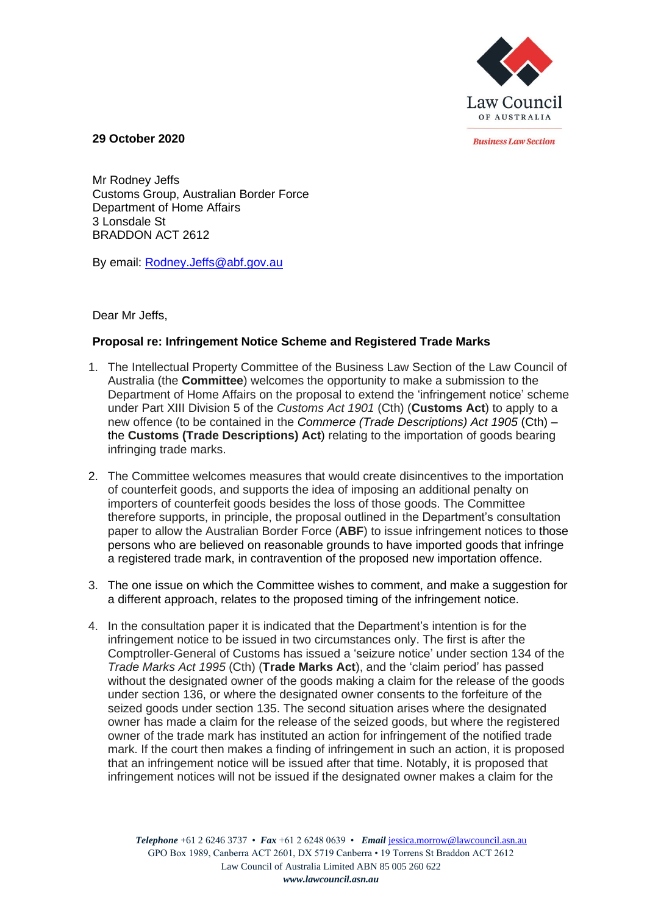

*<u>Rusiness Law Section</u>* 

**29 October 2020**

Mr Rodney Jeffs Customs Group, Australian Border Force Department of Home Affairs 3 Lonsdale St BRADDON ACT 2612

By email: [Rodney.Jeffs@abf.gov.au](mailto:Rodney.Jeffs@abf.gov.au)

Dear Mr Jeffs,

## **Proposal re: Infringement Notice Scheme and Registered Trade Marks**

- 1. The Intellectual Property Committee of the Business Law Section of the Law Council of Australia (the **Committee**) welcomes the opportunity to make a submission to the Department of Home Affairs on the proposal to extend the 'infringement notice' scheme under Part XIII Division 5 of the *Customs Act 1901* (Cth) (**Customs Act**) to apply to a new offence (to be contained in the *Commerce (Trade Descriptions) Act 1905* (Cth) – the **Customs (Trade Descriptions) Act**) relating to the importation of goods bearing infringing trade marks.
- 2. The Committee welcomes measures that would create disincentives to the importation of counterfeit goods, and supports the idea of imposing an additional penalty on importers of counterfeit goods besides the loss of those goods. The Committee therefore supports, in principle, the proposal outlined in the Department's consultation paper to allow the Australian Border Force (**ABF**) to issue infringement notices to those persons who are believed on reasonable grounds to have imported goods that infringe a registered trade mark, in contravention of the proposed new importation offence.
- 3. The one issue on which the Committee wishes to comment, and make a suggestion for a different approach, relates to the proposed timing of the infringement notice.
- 4. In the consultation paper it is indicated that the Department's intention is for the infringement notice to be issued in two circumstances only. The first is after the Comptroller-General of Customs has issued a 'seizure notice' under section 134 of the *Trade Marks Act 1995* (Cth) (**Trade Marks Act**), and the 'claim period' has passed without the designated owner of the goods making a claim for the release of the goods under section 136, or where the designated owner consents to the forfeiture of the seized goods under section 135. The second situation arises where the designated owner has made a claim for the release of the seized goods, but where the registered owner of the trade mark has instituted an action for infringement of the notified trade mark. If the court then makes a finding of infringement in such an action, it is proposed that an infringement notice will be issued after that time. Notably, it is proposed that infringement notices will not be issued if the designated owner makes a claim for the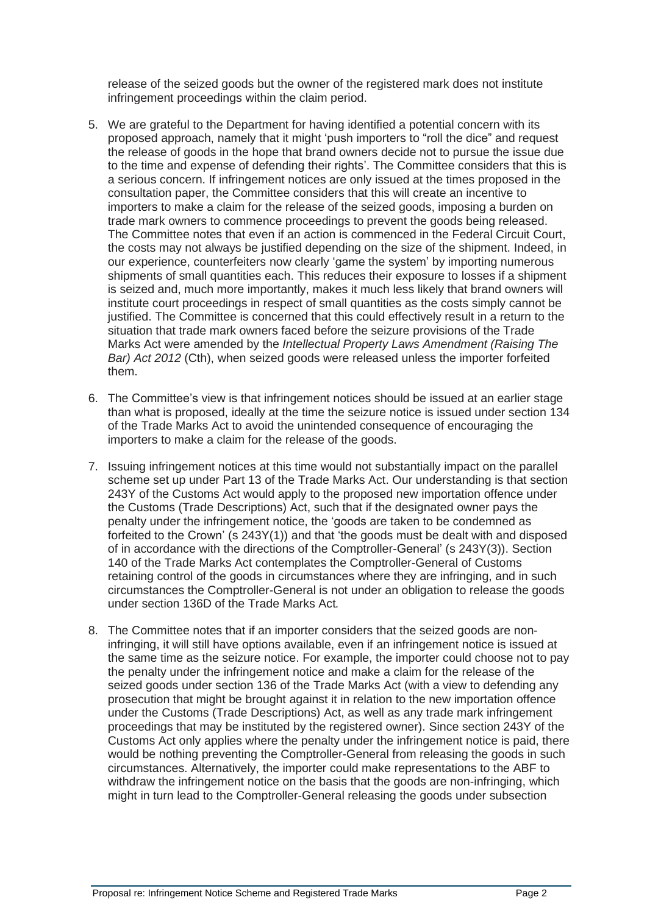release of the seized goods but the owner of the registered mark does not institute infringement proceedings within the claim period.

- 5. We are grateful to the Department for having identified a potential concern with its proposed approach, namely that it might 'push importers to "roll the dice" and request the release of goods in the hope that brand owners decide not to pursue the issue due to the time and expense of defending their rights'. The Committee considers that this is a serious concern. If infringement notices are only issued at the times proposed in the consultation paper, the Committee considers that this will create an incentive to importers to make a claim for the release of the seized goods, imposing a burden on trade mark owners to commence proceedings to prevent the goods being released. The Committee notes that even if an action is commenced in the Federal Circuit Court, the costs may not always be justified depending on the size of the shipment. Indeed, in our experience, counterfeiters now clearly 'game the system' by importing numerous shipments of small quantities each. This reduces their exposure to losses if a shipment is seized and, much more importantly, makes it much less likely that brand owners will institute court proceedings in respect of small quantities as the costs simply cannot be justified. The Committee is concerned that this could effectively result in a return to the situation that trade mark owners faced before the seizure provisions of the Trade Marks Act were amended by the *Intellectual Property Laws Amendment (Raising The Bar) Act 2012* (Cth), when seized goods were released unless the importer forfeited them.
- 6. The Committee's view is that infringement notices should be issued at an earlier stage than what is proposed, ideally at the time the seizure notice is issued under section 134 of the Trade Marks Act to avoid the unintended consequence of encouraging the importers to make a claim for the release of the goods.
- 7. Issuing infringement notices at this time would not substantially impact on the parallel scheme set up under Part 13 of the Trade Marks Act. Our understanding is that section 243Y of the Customs Act would apply to the proposed new importation offence under the Customs (Trade Descriptions) Act, such that if the designated owner pays the penalty under the infringement notice, the 'goods are taken to be condemned as forfeited to the Crown' (s 243Y(1)) and that 'the goods must be dealt with and disposed of in accordance with the directions of the Comptroller-General' (s 243Y(3)). Section 140 of the Trade Marks Act contemplates the Comptroller-General of Customs retaining control of the goods in circumstances where they are infringing, and in such circumstances the Comptroller-General is not under an obligation to release the goods under section 136D of the Trade Marks Act*.*
- 8. The Committee notes that if an importer considers that the seized goods are noninfringing, it will still have options available, even if an infringement notice is issued at the same time as the seizure notice. For example, the importer could choose not to pay the penalty under the infringement notice and make a claim for the release of the seized goods under section 136 of the Trade Marks Act (with a view to defending any prosecution that might be brought against it in relation to the new importation offence under the Customs (Trade Descriptions) Act, as well as any trade mark infringement proceedings that may be instituted by the registered owner). Since section 243Y of the Customs Act only applies where the penalty under the infringement notice is paid, there would be nothing preventing the Comptroller-General from releasing the goods in such circumstances. Alternatively, the importer could make representations to the ABF to withdraw the infringement notice on the basis that the goods are non-infringing, which might in turn lead to the Comptroller-General releasing the goods under subsection